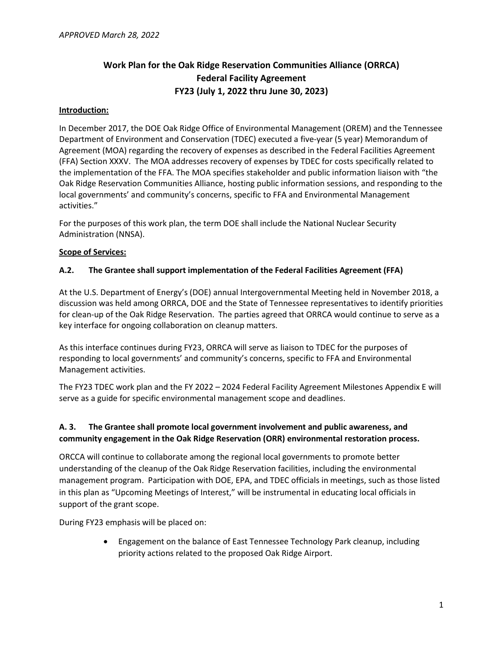# **Work Plan for the Oak Ridge Reservation Communities Alliance (ORRCA) Federal Facility Agreement FY23 (July 1, 2022 thru June 30, 2023)**

#### **Introduction:**

In December 2017, the DOE Oak Ridge Office of Environmental Management (OREM) and the Tennessee Department of Environment and Conservation (TDEC) executed a five-year (5 year) Memorandum of Agreement (MOA) regarding the recovery of expenses as described in the Federal Facilities Agreement (FFA) Section XXXV. The MOA addresses recovery of expenses by TDEC for costs specifically related to the implementation of the FFA. The MOA specifies stakeholder and public information liaison with "the Oak Ridge Reservation Communities Alliance, hosting public information sessions, and responding to the local governments' and community's concerns, specific to FFA and Environmental Management activities."

For the purposes of this work plan, the term DOE shall include the National Nuclear Security Administration (NNSA).

#### **Scope of Services:**

#### **A.2. The Grantee shall support implementation of the Federal Facilities Agreement (FFA)**

At the U.S. Department of Energy's (DOE) annual Intergovernmental Meeting held in November 2018, a discussion was held among ORRCA, DOE and the State of Tennessee representatives to identify priorities for clean-up of the Oak Ridge Reservation. The parties agreed that ORRCA would continue to serve as a key interface for ongoing collaboration on cleanup matters.

As this interface continues during FY23, ORRCA will serve as liaison to TDEC for the purposes of responding to local governments' and community's concerns, specific to FFA and Environmental Management activities.

The FY23 TDEC work plan and the FY 2022 – 2024 Federal Facility Agreement Milestones Appendix E will serve as a guide for specific environmental management scope and deadlines.

### **A. 3. The Grantee shall promote local government involvement and public awareness, and community engagement in the Oak Ridge Reservation (ORR) environmental restoration process.**

ORCCA will continue to collaborate among the regional local governments to promote better understanding of the cleanup of the Oak Ridge Reservation facilities, including the environmental management program. Participation with DOE, EPA, and TDEC officials in meetings, such as those listed in this plan as "Upcoming Meetings of Interest," will be instrumental in educating local officials in support of the grant scope.

During FY23 emphasis will be placed on:

• Engagement on the balance of East Tennessee Technology Park cleanup, including priority actions related to the proposed Oak Ridge Airport.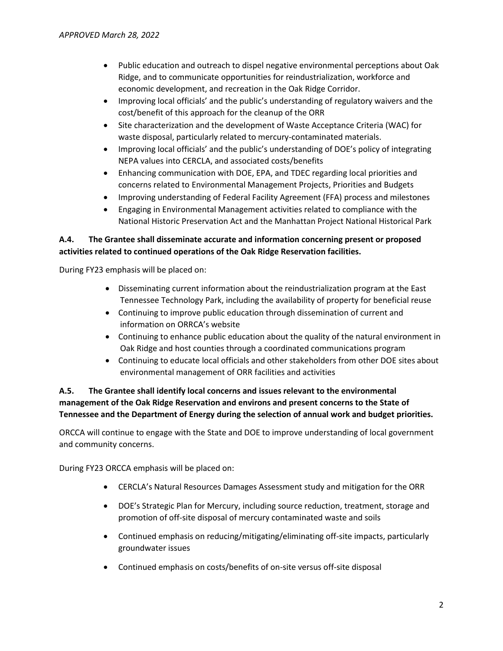- Public education and outreach to dispel negative environmental perceptions about Oak Ridge, and to communicate opportunities for reindustrialization, workforce and economic development, and recreation in the Oak Ridge Corridor.
- Improving local officials' and the public's understanding of regulatory waivers and the cost/benefit of this approach for the cleanup of the ORR
- Site characterization and the development of Waste Acceptance Criteria (WAC) for waste disposal, particularly related to mercury-contaminated materials.
- Improving local officials' and the public's understanding of DOE's policy of integrating NEPA values into CERCLA, and associated costs/benefits
- Enhancing communication with DOE, EPA, and TDEC regarding local priorities and concerns related to Environmental Management Projects, Priorities and Budgets
- Improving understanding of Federal Facility Agreement (FFA) process and milestones
- Engaging in Environmental Management activities related to compliance with the National Historic Preservation Act and the Manhattan Project National Historical Park

### **A.4. The Grantee shall disseminate accurate and information concerning present or proposed activities related to continued operations of the Oak Ridge Reservation facilities.**

During FY23 emphasis will be placed on:

- Disseminating current information about the reindustrialization program at the East Tennessee Technology Park, including the availability of property for beneficial reuse
- Continuing to improve public education through dissemination of current and information on ORRCA's website
- Continuing to enhance public education about the quality of the natural environment in Oak Ridge and host counties through a coordinated communications program
- Continuing to educate local officials and other stakeholders from other DOE sites about environmental management of ORR facilities and activities

### **A.5. The Grantee shall identify local concerns and issues relevant to the environmental management of the Oak Ridge Reservation and environs and present concerns to the State of Tennessee and the Department of Energy during the selection of annual work and budget priorities.**

ORCCA will continue to engage with the State and DOE to improve understanding of local government and community concerns.

During FY23 ORCCA emphasis will be placed on:

- CERCLA's Natural Resources Damages Assessment study and mitigation for the ORR
- DOE's Strategic Plan for Mercury, including source reduction, treatment, storage and promotion of off-site disposal of mercury contaminated waste and soils
- Continued emphasis on reducing/mitigating/eliminating off-site impacts, particularly groundwater issues
- Continued emphasis on costs/benefits of on-site versus off-site disposal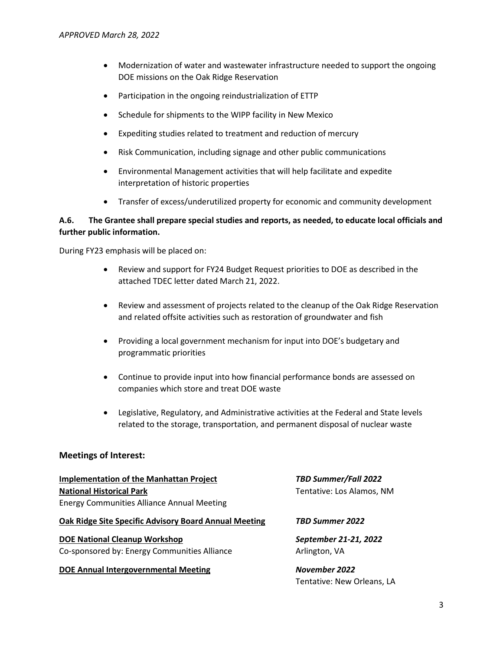- Modernization of water and wastewater infrastructure needed to support the ongoing DOE missions on the Oak Ridge Reservation
- Participation in the ongoing reindustrialization of ETTP
- Schedule for shipments to the WIPP facility in New Mexico
- Expediting studies related to treatment and reduction of mercury
- Risk Communication, including signage and other public communications
- Environmental Management activities that will help facilitate and expedite interpretation of historic properties
- Transfer of excess/underutilized property for economic and community development

### **A.6. The Grantee shall prepare special studies and reports, as needed, to educate local officials and further public information.**

During FY23 emphasis will be placed on:

- Review and support for FY24 Budget Request priorities to DOE as described in the attached TDEC letter dated March 21, 2022.
- Review and assessment of projects related to the cleanup of the Oak Ridge Reservation and related offsite activities such as restoration of groundwater and fish
- Providing a local government mechanism for input into DOE's budgetary and programmatic priorities
- Continue to provide input into how financial performance bonds are assessed on companies which store and treat DOE waste
- Legislative, Regulatory, and Administrative activities at the Federal and State levels related to the storage, transportation, and permanent disposal of nuclear waste

#### **Meetings of Interest:**

**Implementation of the Manhattan Project** *TBD Summer/Fall 2022* **National Historical Park** Tentative: Los Alamos, NM Energy Communities Alliance Annual Meeting

#### **Oak Ridge Site Specific Advisory Board Annual Meeting** *TBD Summer 2022*

**DOE National Cleanup Workshop** *September 21-21, 2022* Co-sponsored by: Energy Communities Alliance Arlington, VA

#### **DOE Annual Intergovernmental Meeting** *November 2022*

Tentative: New Orleans, LA